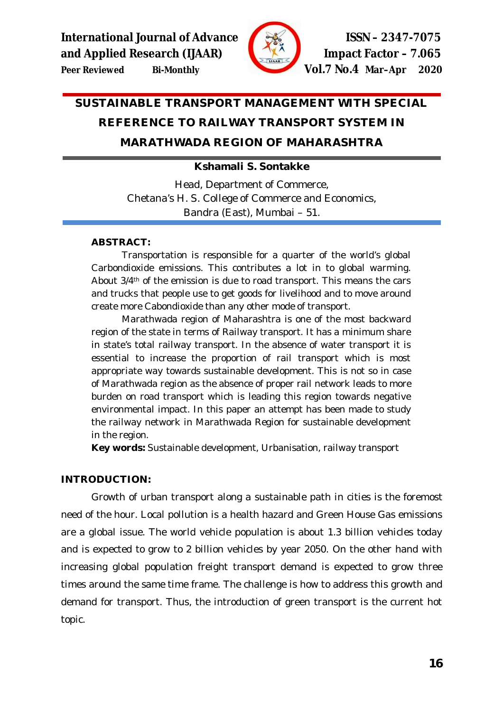

**Peer Reviewed Bi-Monthly Vol.7 No.4 Mar–Apr 2020**

# **SUSTAINABLE TRANSPORT MANAGEMENT WITH SPECIAL REFERENCE TO RAILWAY TRANSPORT SYSTEM IN MARATHWADA REGION OF MAHARASHTRA**

## **Kshamali S. Sontakke**

Head, Department of Commerce, Chetana's H. S. College of Commerce and Economics, Bandra (East), Mumbai – 51.

### **ABSTRACT:**

Transportation is responsible for a quarter of the world's global Carbondioxide emissions. This contributes a lot in to global warming. About 3/4th of the emission is due to road transport. This means the cars and trucks that people use to get goods for livelihood and to move around create more Cabondioxide than any other mode of transport.

Marathwada region of Maharashtra is one of the most backward region of the state in terms of Railway transport. It has a minimum share in state's total railway transport. In the absence of water transport it is essential to increase the proportion of rail transport which is most appropriate way towards sustainable development. This is not so in case of Marathwada region as the absence of proper rail network leads to more burden on road transport which is leading this region towards negative environmental impact. In this paper an attempt has been made to study the railway network in Marathwada Region for sustainable development in the region.

**Key words:** Sustainable development, Urbanisation, railway transport

## **INTRODUCTION:**

Growth of urban transport along a sustainable path in cities is the foremost need of the hour. Local pollution is a health hazard and Green House Gas emissions are a global issue. The world vehicle population is about 1.3 billion vehicles today and is expected to grow to 2 billion vehicles by year 2050. On the other hand with increasing global population freight transport demand is expected to grow three times around the same time frame. The challenge is how to address this growth and demand for transport. Thus, the introduction of green transport is the current hot topic.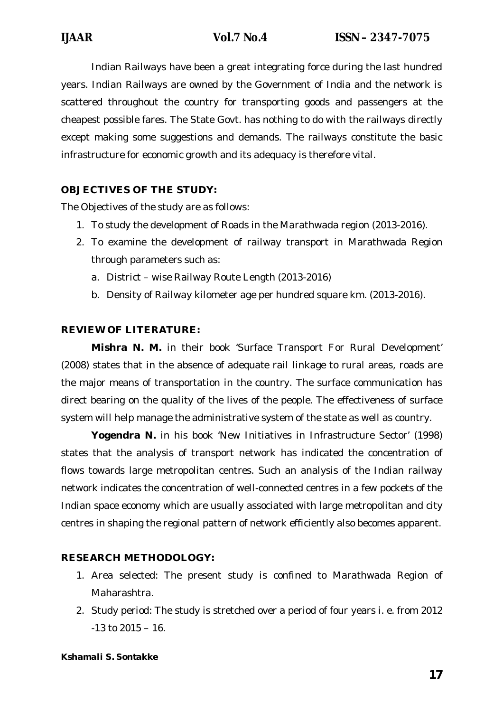Indian Railways have been a great integrating force during the last hundred years. Indian Railways are owned by the Government of India and the network is scattered throughout the country for transporting goods and passengers at the cheapest possible fares. The State Govt. has nothing to do with the railways directly except making some suggestions and demands. The railways constitute the basic infrastructure for economic growth and its adequacy is therefore vital.

## **OBJECTIVES OF THE STUDY:**

The Objectives of the study are as follows:

- 1. To study the development of Roads in the Marathwada region (2013-2016).
- 2. To examine the development of railway transport in Marathwada Region through parameters such as:
	- a. District wise Railway Route Length (2013-2016)
	- b. Density of Railway kilometer age per hundred square km. (2013-2016).

## **REVIEW OF LITERATURE:**

**Mishra N. M.** in their book 'Surface Transport For Rural Development' (2008) states that in the absence of adequate rail linkage to rural areas, roads are the major means of transportation in the country. The surface communication has direct bearing on the quality of the lives of the people. The effectiveness of surface system will help manage the administrative system of the state as well as country.

**Yogendra N.** in his book 'New Initiatives in Infrastructure Sector' (1998) states that the analysis of transport network has indicated the concentration of flows towards large metropolitan centres. Such an analysis of the Indian railway network indicates the concentration of well-connected centres in a few pockets of the Indian space economy which are usually associated with large metropolitan and city centres in shaping the regional pattern of network efficiently also becomes apparent.

## **RESEARCH METHODOLOGY:**

- 1. Area selected: The present study is confined to Marathwada Region of Maharashtra.
- 2. Study period: The study is stretched over a period of four years i. e. from 2012  $-13$  to  $2015 - 16$ .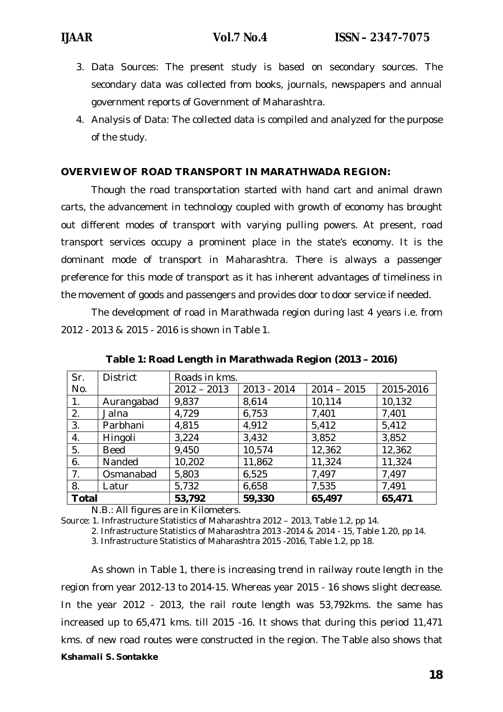- 3. Data Sources: The present study is based on secondary sources. The secondary data was collected from books, journals, newspapers and annual government reports of Government of Maharashtra.
- 4. Analysis of Data: The collected data is compiled and analyzed for the purpose of the study.

#### **OVERVIEW OF ROAD TRANSPORT IN MARATHWADA REGION:**

Though the road transportation started with hand cart and animal drawn carts, the advancement in technology coupled with growth of economy has brought out different modes of transport with varying pulling powers. At present, road transport services occupy a prominent place in the state's economy. It is the dominant mode of transport in Maharashtra. There is always a passenger preference for this mode of transport as it has inherent advantages of timeliness in the movement of goods and passengers and provides door to door service if needed.

The development of road in Marathwada region during last 4 years i.e. from 2012 - 2013 & 2015 - 2016 is shown in Table 1.

| Sr.          | <b>District</b> | Roads in kms. |             |               |           |
|--------------|-----------------|---------------|-------------|---------------|-----------|
| No.          |                 | $2012 - 2013$ | 2013 - 2014 | $2014 - 2015$ | 2015-2016 |
| $1_{\cdot}$  | Aurangabad      | 9,837         | 8,614       | 10,114        | 10,132    |
| 2.           | Jalna           | 4,729         | 6,753       | 7,401         | 7,401     |
| 3.           | Parbhani        | 4,815         | 4,912       | 5,412         | 5,412     |
| 4.           | Hingoli         | 3,224         | 3,432       | 3,852         | 3,852     |
| 5.           | <b>Beed</b>     | 9,450         | 10,574      | 12,362        | 12,362    |
| 6.           | Nanded          | 10,202        | 11,862      | 11,324        | 11,324    |
| 7.           | Osmanabad       | 5,803         | 6,525       | 7,497         | 7,497     |
| 8.           | Latur           | 5,732         | 6,658       | 7,535         | 7,491     |
| <b>Total</b> |                 | 53,792        | 59,330      | 65,497        | 65,471    |

**Table 1: Road Length in Marathwada Region (2013 – 2016)**

N.B.: All figures are in Kilometers.

Source: 1. Infrastructure Statistics of Maharashtra 2012 – 2013, Table 1.2, pp 14.

2. Infrastructure Statistics of Maharashtra 2013 -2014 & 2014 - 15, Table 1.20, pp 14.

3. Infrastructure Statistics of Maharashtra 2015 -2016, Table 1.2, pp 18.

*Kshamali S. Sontakke* As shown in Table 1, there is increasing trend in railway route length in the region from year 2012-13 to 2014-15. Whereas year 2015 - 16 shows slight decrease. In the year 2012 - 2013, the rail route length was 53,792kms. the same has increased up to 65,471 kms. till 2015 -16. It shows that during this period 11,471 kms. of new road routes were constructed in the region. The Table also shows that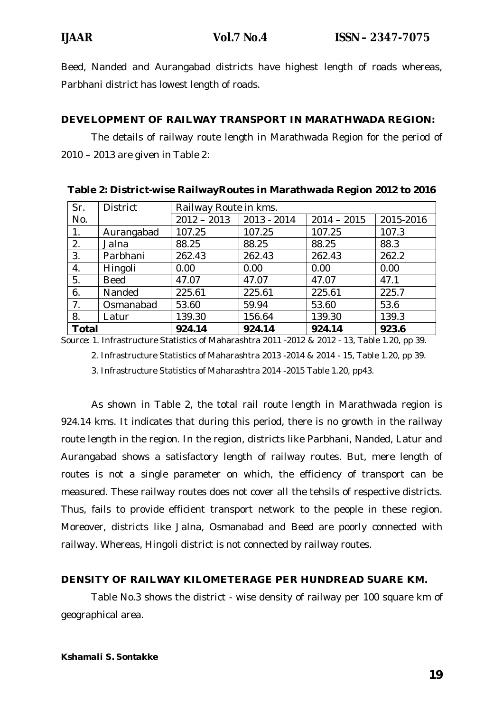Beed, Nanded and Aurangabad districts have highest length of roads whereas, Parbhani district has lowest length of roads.

## **DEVELOPMENT OF RAILWAY TRANSPORT IN MARATHWADA REGION:**

The details of railway route length in Marathwada Region for the period of 2010 – 2013 are given in Table 2:

| Sr.          | <b>District</b> | Railway Route in kms. |             |               |           |
|--------------|-----------------|-----------------------|-------------|---------------|-----------|
| No.          |                 | $2012 - 2013$         | 2013 - 2014 | $2014 - 2015$ | 2015-2016 |
| 1.           | Aurangabad      | 107.25                | 107.25      | 107.25        | 107.3     |
| 2.           | Jalna           | 88.25                 | 88.25       | 88.25         | 88.3      |
| 3.           | Parbhani        | 262.43                | 262.43      | 262.43        | 262.2     |
| 4.           | Hingoli         | 0.00                  | 0.00        | 0.00          | 0.00      |
| 5.           | <b>Beed</b>     | 47.07                 | 47.07       | 47.07         | 47.1      |
| 6.           | Nanded          | 225.61                | 225.61      | 225.61        | 225.7     |
| 7.           | Osmanabad       | 53.60                 | 59.94       | 53.60         | 53.6      |
| 8.           | Latur           | 139.30                | 156.64      | 139.30        | 139.3     |
| <b>Total</b> |                 | 924.14                | 924.14      | 924.14        | 923.6     |

**Table 2: District-wise RailwayRoutes in Marathwada Region 2012 to 2016**

Source: 1. Infrastructure Statistics of Maharashtra 2011 -2012 & 2012 - 13, Table 1.20, pp 39.

2. Infrastructure Statistics of Maharashtra 2013 -2014 & 2014 - 15, Table 1.20, pp 39.

3. Infrastructure Statistics of Maharashtra 2014 -2015 Table 1.20, pp43.

As shown in Table 2, the total rail route length in Marathwada region is 924.14 kms. It indicates that during this period, there is no growth in the railway route length in the region. In the region, districts like Parbhani, Nanded, Latur and Aurangabad shows a satisfactory length of railway routes. But, mere length of routes is not a single parameter on which, the efficiency of transport can be measured. These railway routes does not cover all the tehsils of respective districts. Thus, fails to provide efficient transport network to the people in these region. Moreover, districts like Jalna, Osmanabad and Beed are poorly connected with railway. Whereas, Hingoli district is not connected by railway routes.

## **DENSITY OF RAILWAY KILOMETERAGE PER HUNDREAD SUARE KM.**

Table No.3 shows the district - wise density of railway per 100 square km of geographical area.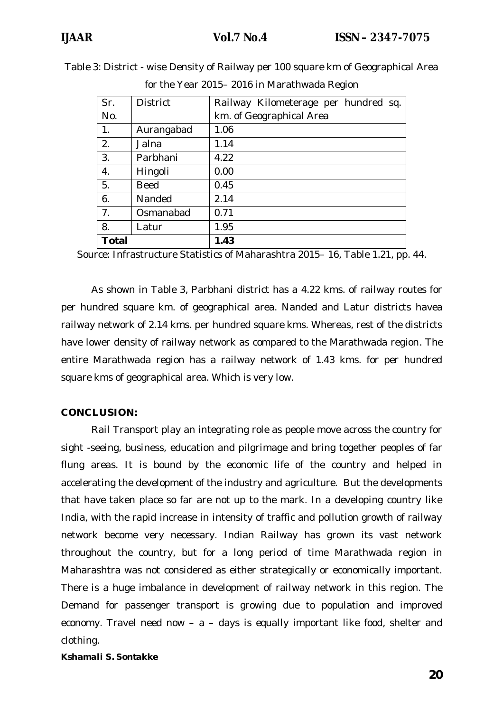| <b>Total</b>   |                 | 1.43                                 |
|----------------|-----------------|--------------------------------------|
| 8.             | Latur           | 1.95                                 |
| 7.             | Osmanabad       | 0.71                                 |
| 6.             | Nanded          | 2.14                                 |
| 5.             | <b>Beed</b>     | 0.45                                 |
| 4.             | Hingoli         | 0.00                                 |
| 3.             | Parbhani        | 4.22                                 |
| 2.             | Jalna           | 1.14                                 |
| 1 <sub>1</sub> | Aurangabad      | 1.06                                 |
| No.            |                 | km. of Geographical Area             |
| Sr.            | <b>District</b> | Railway Kilometerage per hundred sq. |

Table 3: District - wise Density of Railway per 100 square km of Geographical Area

for the Year 2015– 2016 in Marathwada Region

Source: Infrastructure Statistics of Maharashtra 2015– 16, Table 1.21, pp. 44.

As shown in Table 3, Parbhani district has a 4.22 kms. of railway routes for per hundred square km. of geographical area. Nanded and Latur districts havea railway network of 2.14 kms. per hundred square kms. Whereas, rest of the districts have lower density of railway network as compared to the Marathwada region. The entire Marathwada region has a railway network of 1.43 kms. for per hundred square kms of geographical area. Which is very low.

#### **CONCLUSION:**

Rail Transport play an integrating role as people move across the country for sight -seeing, business, education and pilgrimage and bring together peoples of far flung areas. It is bound by the economic life of the country and helped in accelerating the development of the industry and agriculture. But the developments that have taken place so far are not up to the mark. In a developing country like India, with the rapid increase in intensity of traffic and pollution growth of railway network become very necessary. Indian Railway has grown its vast network throughout the country, but for a long period of time Marathwada region in Maharashtra was not considered as either strategically or economically important. There is a huge imbalance in development of railway network in this region. The Demand for passenger transport is growing due to population and improved economy. Travel need now – a – days is equally important like food, shelter and clothing.

#### *Kshamali S. Sontakke*

**20**